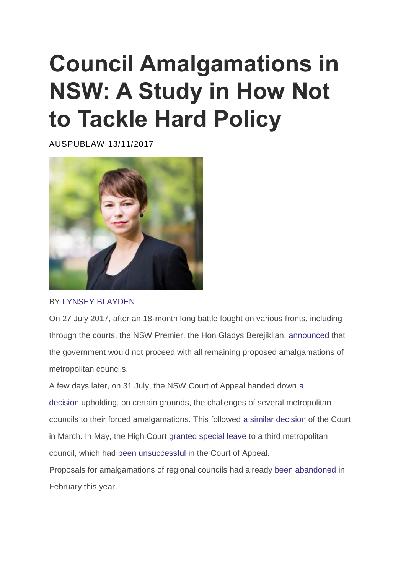# **[Council Amalgamations in](https://auspublaw.org/2017/11/council-amalgamations-in-nsw/)  [NSW: A Study in How Not](https://auspublaw.org/2017/11/council-amalgamations-in-nsw/)  [to Tackle Hard Policy](https://auspublaw.org/2017/11/council-amalgamations-in-nsw/)**

[AUSPUBLAW](https://auspublaw.org/author/auspublaw/) [13/11/2017](https://auspublaw.org/2017/11/council-amalgamations-in-nsw/)



BY [LYNSEY BLAYDEN](https://auspublaw.org/lynsey-blayden/)

On 27 July 2017, after an 18-month long battle fought on various fronts, including through the courts, the NSW Premier, the Hon Gladys Berejiklian, [announced](https://www.nsw.gov.au/your-government/the-premier/media-releases-from-the-premier/proposed-council-mergers-before-the-courts-will-not-proceed/) that the government would not proceed with all remaining proposed amalgamations of metropolitan councils.

A few days later, on 31 July, the NSW Court of Appeal handed down [a](https://www.caselaw.nsw.gov.au/decision/597a753de4b058596cba8db1)  [decision](https://www.caselaw.nsw.gov.au/decision/597a753de4b058596cba8db1) upholding, on certain grounds, the challenges of several metropolitan councils to their forced amalgamations. This followed [a similar decision](https://www.caselaw.nsw.gov.au/decision/58d1d41ae4b0e71e17f58053) of the Court in March. In May, the High Court [granted special leave](http://www.hcourt.gov.au/assets/registry/special-leave-results/2017/12-05-17Results.pdf) to a third metropolitan council, which had [been unsuccessful](https://www.caselaw.nsw.gov.au/decision/585b138be4b058596cba2fd7) in the Court of Appeal.

Proposals for amalgamations of regional councils had already [been abandoned](http://www.abc.net.au/news/2017-02-14/nsw-government-to-proceed-with-city-council-mergers-not-regional/8268340) in February this year.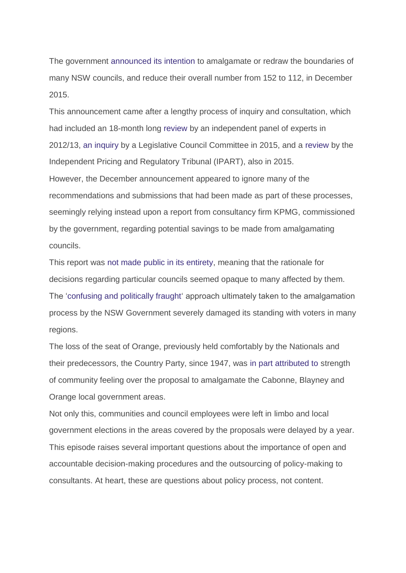The government [announced its intention](http://www.afr.com/real-estate/nsw-local-government-mergers-to-deliver-faster-approvals-and-lower-council-rates-20151021-gkeowf) to amalgamate or redraw the boundaries of many NSW councils, and reduce their overall number from 152 to 112, in December 2015.

This announcement came after a lengthy process of inquiry and consultation, which had included an 18-month long [review](http://www.localgovernmentreview.nsw.gov.au/) by an independent panel of experts in 2012/13, [an inquiry](https://www.parliament.nsw.gov.au/committees/inquiries/Pages/inquiry-details.aspx?pk=1825#tab-reports) by a Legislative Council Committee in 2015, and a [review](https://www.ipart.nsw.gov.au/Home/Industries/Local-Government/Reviews/Fit-for-the-future/Review-of-Local-Council-Fit-For-The-Future-proposals) by the Independent Pricing and Regulatory Tribunal (IPART), also in 2015. However, the December announcement appeared to ignore many of the recommendations and submissions that had been made as part of these processes, seemingly relying instead upon a report from consultancy firm KPMG, commissioned by the government, regarding potential savings to be made from amalgamating councils.

This report was [not made public in its entirety,](http://www.smh.com.au/nsw/crucial-report-into-council-mergers-not-held-by-council-minister-department-20170524-gwca8d.html) meaning that the rationale for decisions regarding particular councils seemed opaque to many affected by them. The ['confusing and politically fraught'](http://www.smh.com.au/nsw/council-amalgamations-nsw-councils-to-merge-this-week-as-premier-mike-baird-cracks-whip-20160511-gostvj.html) approach ultimately taken to the amalgamation process by the NSW Government severely damaged its standing with voters in many regions.

The loss of the seat of Orange, previously held comfortably by the Nationals and their predecessors, the Country Party, since 1947, was [in part attributed to](http://www.abc.net.au/news/2016-11-13/nsw-by-election-nationals-face-devastating-swing-in-orange/8020688) strength of community feeling over the proposal to amalgamate the Cabonne, Blayney and Orange local government areas.

Not only this, communities and council employees were left in limbo and local government elections in the areas covered by the proposals were delayed by a year. This episode raises several important questions about the importance of open and accountable decision-making procedures and the outsourcing of policy-making to consultants. At heart, these are questions about policy process, not content.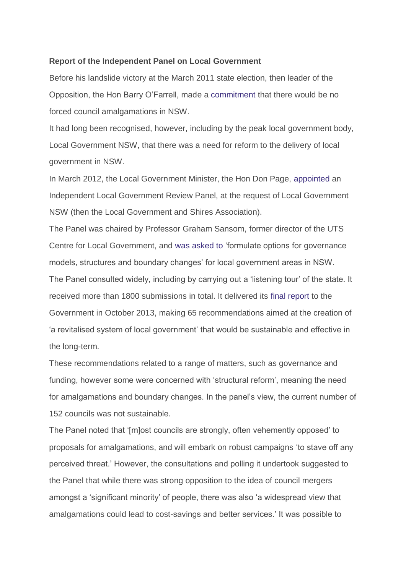## **Report of the Independent Panel on Local Government**

Before his landslide victory at the March 2011 state election, then leader of the Opposition, the Hon Barry O'Farrell, made a [commitment](http://www.localgovernmentreview.nsw.gov.au/Index.asp?areaindex=LGR&index=43&acode=TR&mi=1) that there would be no forced council amalgamations in NSW.

It had long been recognised, however, including by the peak local government body, Local Government NSW, that there was a need for reform to the delivery of local government in NSW.

In March 2012, the Local Government Minister, the Hon Don Page, [appointed](https://www.olg.nsw.gov.au/strengthening-local-government/local-government-reform/independent-review-of-local-government) an Independent Local Government Review Panel, at the request of Local Government NSW (then the Local Government and Shires Association).

The Panel was chaired by Professor Graham Sansom, former director of the UTS Centre for Local Government, and [was asked to](http://www.localgovernmentreview.nsw.gov.au/documents/LGR/Revitalising%20Local%20Government%20-%20ILGRP%20Final%20Report%20-%20October%202013.pdf) 'formulate options for governance models, structures and boundary changes' for local government areas in NSW. The Panel consulted widely, including by carrying out a 'listening tour' of the state. It received more than 1800 submissions in total. It delivered its [final report](http://www.localgovernmentreview.nsw.gov.au/documents/LGR/Revitalising%20Local%20Government%20-%20ILGRP%20Final%20Report%20-%20October%202013.pdf) to the Government in October 2013, making 65 recommendations aimed at the creation of 'a revitalised system of local government' that would be sustainable and effective in the long-term.

These recommendations related to a range of matters, such as governance and funding, however some were concerned with 'structural reform', meaning the need for amalgamations and boundary changes. In the panel's view, the current number of 152 councils was not sustainable.

The Panel noted that '[m]ost councils are strongly, often vehemently opposed' to proposals for amalgamations, and will embark on robust campaigns 'to stave off any perceived threat.' However, the consultations and polling it undertook suggested to the Panel that while there was strong opposition to the idea of council mergers amongst a 'significant minority' of people, there was also 'a widespread view that amalgamations could lead to cost-savings and better services.' It was possible to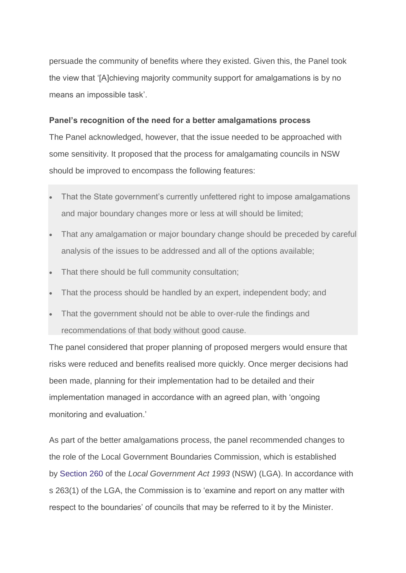persuade the community of benefits where they existed. Given this, the Panel took the view that '[A]chieving majority community support for amalgamations is by no means an impossible task'.

## **Panel's recognition of the need for a better amalgamations process**

The Panel acknowledged, however, that the issue needed to be approached with some sensitivity. It proposed that the process for amalgamating councils in NSW should be improved to encompass the following features:

- That the State government's currently unfettered right to impose amalgamations and major boundary changes more or less at will should be limited;
- That any amalgamation or major boundary change should be preceded by careful analysis of the issues to be addressed and all of the options available;
- That there should be full community consultation;
- That the process should be handled by an expert, independent body; and
- That the government should not be able to over-rule the findings and recommendations of that body without good cause.

The panel considered that proper planning of proposed mergers would ensure that risks were reduced and benefits realised more quickly. Once merger decisions had been made, planning for their implementation had to be detailed and their implementation managed in accordance with an agreed plan, with 'ongoing monitoring and evaluation.'

As part of the better amalgamations process, the panel recommended changes to the role of the Local Government Boundaries Commission, which is established by [Section 260](https://www.legislation.nsw.gov.au/#/view/act/1993/30/chap9/part3/sec260) of the *Local Government Act 1993* (NSW) (LGA). In accordance with s 263(1) of the LGA, the Commission is to 'examine and report on any matter with respect to the boundaries' of councils that may be referred to it by the Minister.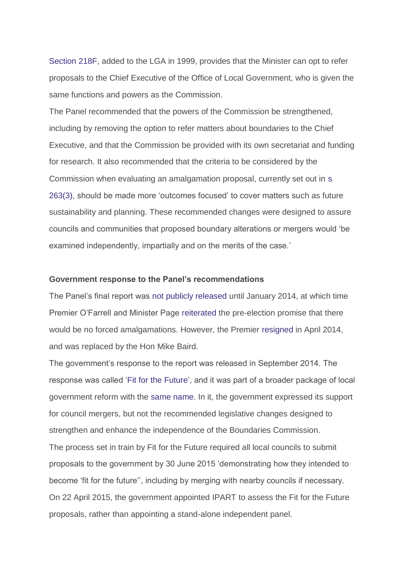[Section](https://legislation.nsw.gov.au/~/view/act/1993/30/historical2016-07-01/chap9/part1/div2b/sec218f) 218F, added to the LGA in 1999, provides that the Minister can opt to refer proposals to the Chief Executive of the Office of Local Government, who is given the same functions and powers as the Commission.

The Panel recommended that the powers of the Commission be strengthened, including by removing the option to refer matters about boundaries to the Chief Executive, and that the Commission be provided with its own secretariat and funding for research. It also recommended that the criteria to be considered by the Commission when evaluating an amalgamation proposal, currently set out in [s](https://legislation.nsw.gov.au/~/view/act/1993/30/historical2016-07-01/chap9/part3/sec263)  [263\(3\),](https://legislation.nsw.gov.au/~/view/act/1993/30/historical2016-07-01/chap9/part3/sec263) should be made more 'outcomes focused' to cover matters such as future sustainability and planning. These recommended changes were designed to assure councils and communities that proposed boundary alterations or mergers would 'be examined independently, impartially and on the merits of the case.'

## **Government response to the Panel's recommendations**

The Panel's final report was [not publicly released](http://www.dailytelegraph.com.au/newslocal/city-east/woollahra-mayor-toni-zeltzer-says-independent-local-government-review-could-lead-to-rate-rise-for-eastern-suburbs/news-story/60cbe0a5d6f25ac1956ac4621396694f) until January 2014, at which time Premier O'Farrell and Minister Page [reiterated](http://www.dailytelegraph.com.au/newslocal/city-east/woollahra-mayor-toni-zeltzer-says-independent-local-government-review-could-lead-to-rate-rise-for-eastern-suburbs/news-story/60cbe0a5d6f25ac1956ac4621396694f) the pre-election promise that there would be no forced amalgamations. However, the Premier [resigned](http://www.smh.com.au/nsw/barry-ofarrell-resigns-after-being-caught-out-over-bottle-of-wine-20140416-36qpg.html) in April 2014, and was replaced by the Hon Mike Baird.

The government's response to the report was released in September 2014. The response was called ['Fit for the Future'](http://www.fitforthefuture.nsw.gov.au/sites/fftf/files/NSW-Government-Response-Panel-and-Taskforce-recommendations.pdf), and it was part of a broader package of local government reform with the [same name.](http://www.fitforthefuture.nsw.gov.au/) In it, the government expressed its support for council mergers, but not the recommended legislative changes designed to strengthen and enhance the independence of the Boundaries Commission. The process set in train by Fit for the Future required all local councils to submit proposals to the government by 30 June 2015 'demonstrating how they intended to become 'fit for the future'', including by merging with nearby councils if necessary. On 22 April 2015, the government appointed IPART to assess the Fit for the Future proposals, rather than appointing a stand-alone independent panel.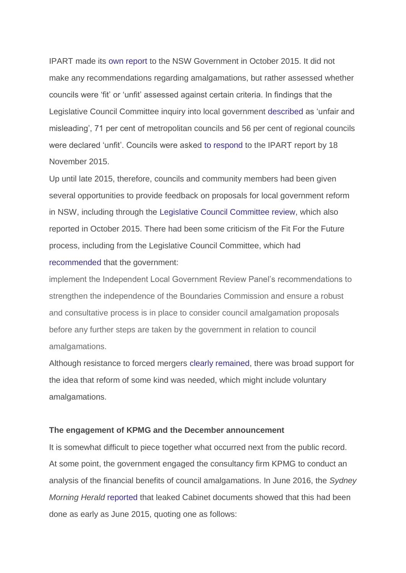IPART made its [own report](https://www.ipart.nsw.gov.au/files/sharedassets/website/shared-files/investigation-section-9-legislative-requirements-review-of-local-council-fit-for-the-future-proposals/final_report_-_assessment_of_council_fit_for_the_future_proposals_-_october_2015.pdf) to the NSW Government in October 2015. It did not make any recommendations regarding amalgamations, but rather assessed whether councils were 'fit' or 'unfit' assessed against certain criteria. In findings that the Legislative Council Committee inquiry into local government [described](https://www.parliament.nsw.gov.au/committees/DBAssets/InquiryReport/ReportAcrobat/5331/Report%201%20-%20Local%20Government%20in%20NSW%20-%2029%20October%2020.pdf) as 'unfair and misleading', 71 per cent of metropolitan councils and 56 per cent of regional councils were declared 'unfit'. Councils were asked [to respond](https://theconversation.com/nsw-councils-shake-up-is-the-endgame-near-52381) to the IPART report by 18 November 2015.

Up until late 2015, therefore, councils and community members had been given several opportunities to provide feedback on proposals for local government reform in NSW, including through the [Legislative Council Committee review,](https://www.parliament.nsw.gov.au/committees/inquiries/Pages/inquiry-details.aspx?pk=1825#tab-timeline) which also reported in October 2015. There had been some criticism of the Fit For the Future process, including from the Legislative Council Committee, which had [recommended](https://www.parliament.nsw.gov.au/committees/DBAssets/InquiryReport/Recommendations/5331/Recommendations%20and%20Findings.pdf) that the government:

implement the Independent Local Government Review Panel's recommendations to strengthen the independence of the Boundaries Commission and ensure a robust and consultative process is in place to consider council amalgamation proposals before any further steps are taken by the government in relation to council amalgamations.

Although resistance to forced mergers [clearly remained,](https://theconversation.com/nsw-councils-shake-up-is-the-endgame-near-52381) there was broad support for the idea that reform of some kind was needed, which might include voluntary amalgamations.

### **The engagement of KPMG and the December announcement**

It is somewhat difficult to piece together what occurred next from the public record. At some point, the government engaged the consultancy firm KPMG to conduct an analysis of the financial benefits of council amalgamations. In June 2016, the *Sydney Morning Herald* [reported](http://www.smh.com.au/nsw/council-amalgamations-baird-government-ordered-to-reveal-kpmgs-role-in-mergers-20160601-gp8rh2.html) that leaked Cabinet documents showed that this had been done as early as June 2015, quoting one as follows: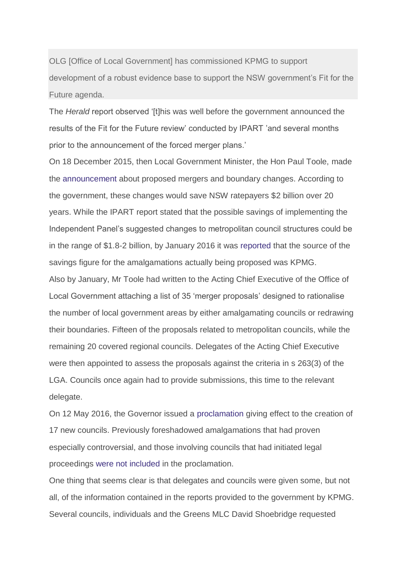OLG [Office of Local Government] has commissioned KPMG to support development of a robust evidence base to support the NSW government's Fit for the Future agenda.

The *Herald* report observed '[t]his was well before the government announced the results of the Fit for the Future review' conducted by IPART 'and several months prior to the announcement of the forced merger plans.'

On 18 December 2015, then Local Government Minister, the Hon Paul Toole, made the [announcement](http://www.abc.net.au/news/2015-12-18/sydney-councils-to-be-forced-to-merge-by-nsw-government/7039326) about proposed mergers and boundary changes. According to the government, these changes would save NSW ratepayers \$2 billion over 20 years. While the IPART report stated that the possible savings of implementing the Independent Panel's suggested changes to metropolitan council structures could be in the range of \$1.8-2 billion, by January 2016 it was [reported](http://www.smh.com.au/nsw/council-amalgamation-report-awash-with-errors-20160124-gmcsri.html) that the source of the savings figure for the amalgamations actually being proposed was KPMG. Also by January, Mr Toole had written to the Acting Chief Executive of the Office of Local Government attaching a list of 35 'merger proposals' designed to rationalise the number of local government areas by either amalgamating councils or redrawing their boundaries. Fifteen of the proposals related to metropolitan councils, while the remaining 20 covered regional councils. Delegates of the Acting Chief Executive were then appointed to assess the proposals against the criteria in s 263(3) of the LGA. Councils once again had to provide submissions, this time to the relevant delegate.

On 12 May 2016, the Governor issued a [proclamation](https://www.legislation.nsw.gov.au/regulations/2016-242.pdf) giving effect to the creation of 17 new councils. Previously foreshadowed amalgamations that had proven especially controversial, and those involving councils that had initiated legal proceedings [were not included](http://www.dailytelegraph.com.au/newslocal/parramatta/councillors-face-axe-as-amalgamation-plan-goes-to-cabinet/news-story/c5440c9d5d1ac976df185d71f0b0e43b) in the proclamation.

One thing that seems clear is that delegates and councils were given some, but not all, of the information contained in the reports provided to the government by KPMG. Several councils, individuals and the Greens MLC David Shoebridge requested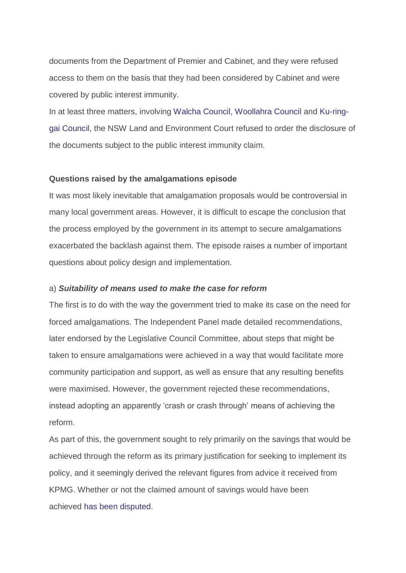documents from the Department of Premier and Cabinet, and they were refused access to them on the basis that they had been considered by Cabinet and were covered by public interest immunity.

In at least three matters, involving [Walcha Council,](https://www.caselaw.nsw.gov.au/decision/57467d49e4b0e71e17f51bad) [Woollahra Council](https://www.caselaw.nsw.gov.au/decision/5719ded6e4b0e71e17f511e7) and [Ku-ring](https://www.caselaw.nsw.gov.au/decision/5719ded6e4b0e71e17f511e7)[gai Council,](https://www.caselaw.nsw.gov.au/decision/5719ded6e4b0e71e17f511e7) the NSW Land and Environment Court refused to order the disclosure of the documents subject to the public interest immunity claim.

## **Questions raised by the amalgamations episode**

It was most likely inevitable that amalgamation proposals would be controversial in many local government areas. However, it is difficult to escape the conclusion that the process employed by the government in its attempt to secure amalgamations exacerbated the backlash against them. The episode raises a number of important questions about policy design and implementation.

## a) *Suitability of means used to make the case for reform*

The first is to do with the way the government tried to make its case on the need for forced amalgamations. The Independent Panel made detailed recommendations, later endorsed by the Legislative Council Committee, about steps that might be taken to ensure amalgamations were achieved in a way that would facilitate more community participation and support, as well as ensure that any resulting benefits were maximised. However, the government rejected these recommendations, instead adopting an apparently 'crash or crash through' means of achieving the reform.

As part of this, the government sought to rely primarily on the savings that would be achieved through the reform as its primary justification for seeking to implement its policy, and it seemingly derived the relevant figures from advice it received from KPMG. Whether or not the claimed amount of savings would have been achieved [has been disputed.](http://www.smh.com.au/nsw/council-amalgamation-report-awash-with-errors-20160124-gmcsri.html)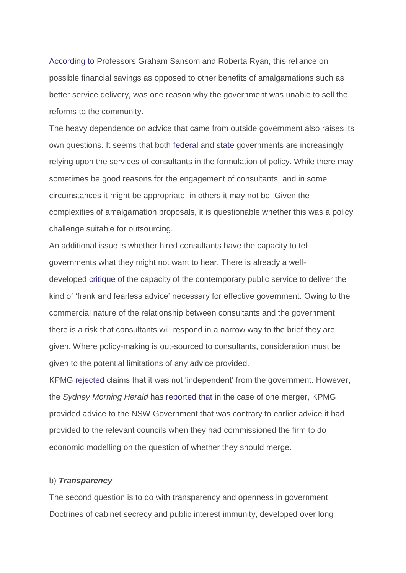[According to](https://www.governmentnews.com.au/2017/02/forced-council-mergers-nsw-government-got-wrong/) Professors Graham Sansom and Roberta Ryan, this reliance on possible financial savings as opposed to other benefits of amalgamations such as better service delivery, was one reason why the government was unable to sell the reforms to the community.

The heavy dependence on advice that came from outside government also raises its own questions. It seems that both [federal](http://www.canberratimes.com.au/national/public-service/consultants-boom-bureaucrats-bust-the-hidden-cost-of-public-service-cuts-20160825-gr1mi9.html) and [state](http://www.smh.com.au/nsw/150-million-consulting-bill-gets-results-state-government-says-20160618-gpmgeu.html) governments are increasingly relying upon the services of consultants in the formulation of policy. While there may sometimes be good reasons for the engagement of consultants, and in some circumstances it might be appropriate, in others it may not be. Given the complexities of amalgamation proposals, it is questionable whether this was a policy challenge suitable for outsourcing.

An additional issue is whether hired consultants have the capacity to tell governments what they might not want to hear. There is already a welldeveloped [critique](http://www.canberratimes.com.au/national/public-service/former-pmc-secretary-urges-public-servants-to-be-frank-and-fearless-20160209-gmpe9s.html) of the capacity of the contemporary public service to deliver the kind of 'frank and fearless advice' necessary for effective government. Owing to the commercial nature of the relationship between consultants and the government, there is a risk that consultants will respond in a narrow way to the brief they are given. Where policy-making is out-sourced to consultants, consideration must be given to the potential limitations of any advice provided.

KPMG [rejected](http://www.dailytelegraph.com.au/newslocal/north-shore/state-government-forced-to-give-up-kpmg-merger-documents-to-the-nsw-land-and-environment-court/news-story/4c4ccbd2a658f8ab648b8275531d2dc6) claims that it was not 'independent' from the government. However, the *Sydney Morning Herald* has [reported that](http://www.smh.com.au/nsw/mergers-one-council-one-consultant-two-very-different-reports-20160426-gof5lt.html) in the case of one merger, KPMG provided advice to the NSW Government that was contrary to earlier advice it had provided to the relevant councils when they had commissioned the firm to do economic modelling on the question of whether they should merge.

## b) *Transparency*

The second question is to do with transparency and openness in government. Doctrines of cabinet secrecy and public interest immunity, developed over long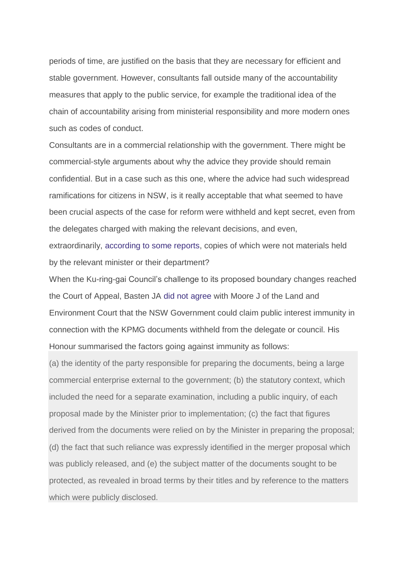periods of time, are justified on the basis that they are necessary for efficient and stable government. However, consultants fall outside many of the accountability measures that apply to the public service, for example the traditional idea of the chain of accountability arising from ministerial responsibility and more modern ones such as codes of conduct.

Consultants are in a commercial relationship with the government. There might be commercial-style arguments about why the advice they provide should remain confidential. But in a case such as this one, where the advice had such widespread ramifications for citizens in NSW, is it really acceptable that what seemed to have been crucial aspects of the case for reform were withheld and kept secret, even from the delegates charged with making the relevant decisions, and even,

extraordinarily, [according to some reports,](http://www.smh.com.au/nsw/crucial-report-into-council-mergers-not-held-by-council-minister-department-20170524-gwca8d.html) copies of which were not materials held by the relevant minister or their department?

When the Ku-ring-gai Council's challenge to its proposed boundary changes reached the Court of Appeal, Basten JA [did not agree](https://www.caselaw.nsw.gov.au/decision/58d1d41ae4b0e71e17f58053) with Moore J of the Land and Environment Court that the NSW Government could claim public interest immunity in connection with the KPMG documents withheld from the delegate or council. His Honour summarised the factors going against immunity as follows:

(a) the identity of the party responsible for preparing the documents, being a large commercial enterprise external to the government; (b) the statutory context, which included the need for a separate examination, including a public inquiry, of each proposal made by the Minister prior to implementation; (c) the fact that figures derived from the documents were relied on by the Minister in preparing the proposal; (d) the fact that such reliance was expressly identified in the merger proposal which was publicly released, and (e) the subject matter of the documents sought to be protected, as revealed in broad terms by their titles and by reference to the matters which were publicly disclosed.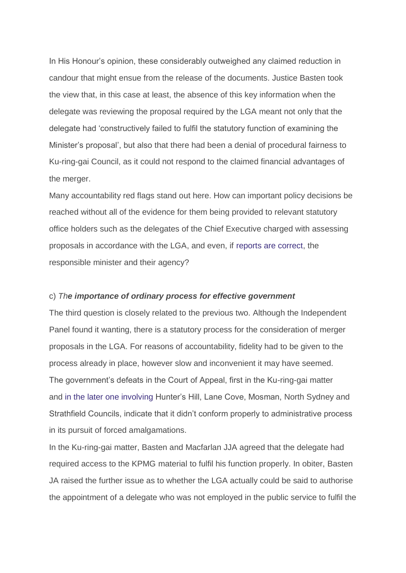In His Honour's opinion, these considerably outweighed any claimed reduction in candour that might ensue from the release of the documents. Justice Basten took the view that, in this case at least, the absence of this key information when the delegate was reviewing the proposal required by the LGA meant not only that the delegate had 'constructively failed to fulfil the statutory function of examining the Minister's proposal', but also that there had been a denial of procedural fairness to Ku-ring-gai Council, as it could not respond to the claimed financial advantages of the merger.

Many accountability red flags stand out here. How can important policy decisions be reached without all of the evidence for them being provided to relevant statutory office holders such as the delegates of the Chief Executive charged with assessing proposals in accordance with the LGA, and even, if [reports are correct,](http://www.smh.com.au/nsw/crucial-report-into-council-mergers-not-held-by-council-minister-department-20170524-gwca8d.html) the responsible minister and their agency?

#### c) *The importance of ordinary process for effective government*

The third question is closely related to the previous two. Although the Independent Panel found it wanting, there is a statutory process for the consideration of merger proposals in the LGA. For reasons of accountability, fidelity had to be given to the process already in place, however slow and inconvenient it may have seemed. The government's defeats in the Court of Appeal, first in the Ku-ring-gai matter and [in the later one involving](https://www.caselaw.nsw.gov.au/decision/597a753de4b058596cba8db1) Hunter's Hill, Lane Cove, Mosman, North Sydney and Strathfield Councils, indicate that it didn't conform properly to administrative process in its pursuit of forced amalgamations.

In the Ku-ring-gai matter, Basten and Macfarlan JJA agreed that the delegate had required access to the KPMG material to fulfil his function properly. In obiter, Basten JA raised the further issue as to whether the LGA actually could be said to authorise the appointment of a delegate who was not employed in the public service to fulfil the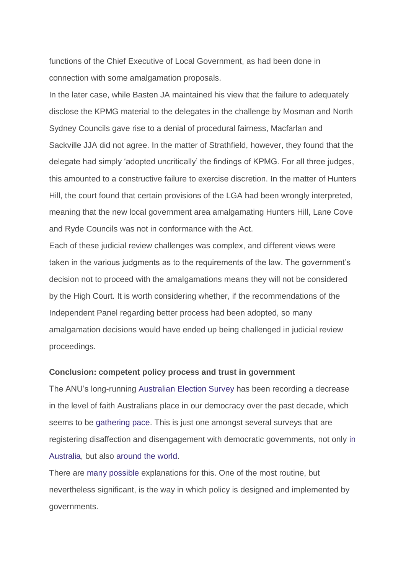functions of the Chief Executive of Local Government, as had been done in connection with some amalgamation proposals.

In the later case, while Basten JA maintained his view that the failure to adequately disclose the KPMG material to the delegates in the challenge by Mosman and North Sydney Councils gave rise to a denial of procedural fairness, Macfarlan and Sackville JJA did not agree. In the matter of Strathfield, however, they found that the delegate had simply 'adopted uncritically' the findings of KPMG. For all three judges, this amounted to a constructive failure to exercise discretion. In the matter of Hunters Hill, the court found that certain provisions of the LGA had been wrongly interpreted, meaning that the new local government area amalgamating Hunters Hill, Lane Cove and Ryde Councils was not in conformance with the Act.

Each of these judicial review challenges was complex, and different views were taken in the various judgments as to the requirements of the law. The government's decision not to proceed with the amalgamations means they will not be considered by the High Court. It is worth considering whether, if the recommendations of the Independent Panel regarding better process had been adopted, so many amalgamation decisions would have ended up being challenged in judicial review proceedings.

### **Conclusion: competent policy process and trust in government**

The ANU's long-running [Australian Election Survey](http://www.australianelectionstudy.org/about.html) has been recording a decrease in the level of faith Australians place in our democracy over the past decade, which seems to be [gathering pace.](http://www.afr.com/news/politics/faith-in-democracy-plunges-at-2016-poll-anu-study-20161220-gtera5) This is just one amongst several surveys that are registering disaffection and disengagement with democratic governments, not only [in](https://www.lowyinstitute.org/the-interpreter/are-we-losing-faith-democracy)  [Australia,](https://www.lowyinstitute.org/the-interpreter/are-we-losing-faith-democracy) but also [around the world.](http://www.oecd.org/gov/trust-in-government.htm)

There are [many possible](http://www.abc.net.au/7.30/content/2017/s4601875.htm) explanations for this. One of the most routine, but nevertheless significant, is the way in which policy is designed and implemented by governments.